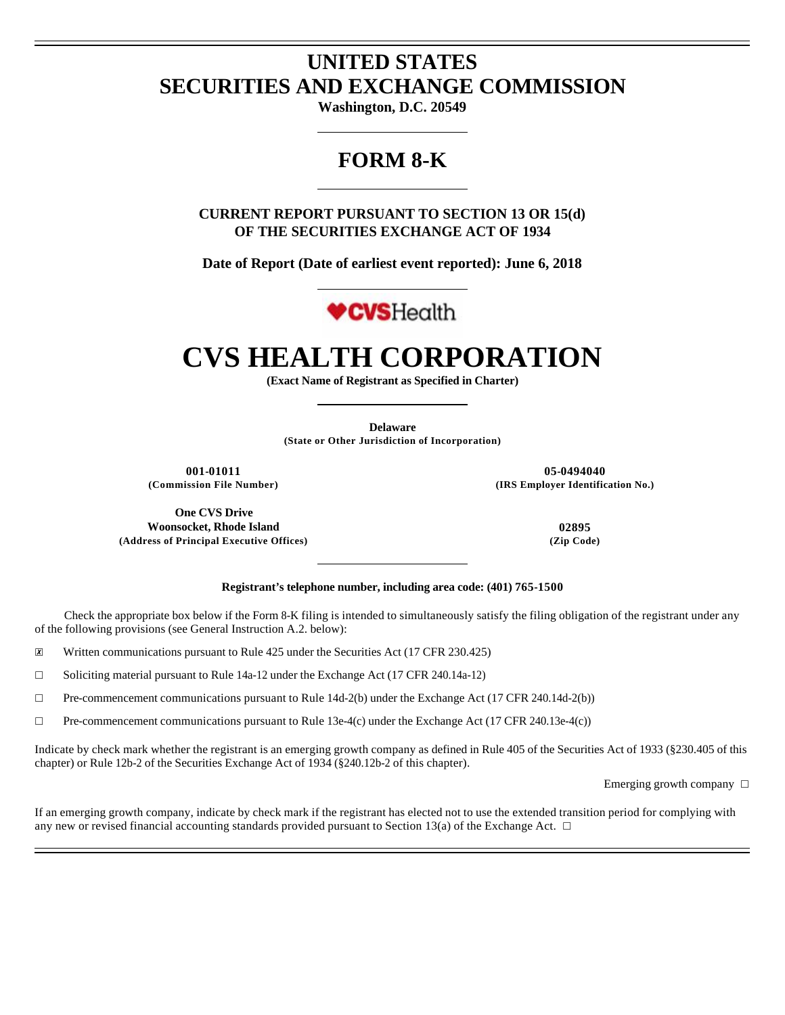# **UNITED STATES SECURITIES AND EXCHANGE COMMISSION**

**Washington, D.C. 20549** 

# **FORM 8-K**

**CURRENT REPORT PURSUANT TO SECTION 13 OR 15(d) OF THE SECURITIES EXCHANGE ACT OF 1934** 

**Date of Report (Date of earliest event reported): June 6, 2018** 



# **CVS HEALTH CORPORATION**

**(Exact Name of Registrant as Specified in Charter)** 

**Delaware (State or Other Jurisdiction of Incorporation)** 

**001-01011 05-0494040**

**(Commission File Number) (IRS Employer Identification No.)**

**Registrant's telephone number, including area code: (401) 765-1500**

Check the appropriate box below if the Form 8-K filing is intended to simultaneously satisfy the filing obligation of the registrant under any of the following provisions (see General Instruction A.2. below):

☒ Written communications pursuant to Rule 425 under the Securities Act (17 CFR 230.425)

☐ Soliciting material pursuant to Rule 14a-12 under the Exchange Act (17 CFR 240.14a-12)

☐ Pre-commencement communications pursuant to Rule 14d-2(b) under the Exchange Act (17 CFR 240.14d-2(b))

 $\Box$  Pre-commencement communications pursuant to Rule 13e-4(c) under the Exchange Act (17 CFR 240.13e-4(c))

Indicate by check mark whether the registrant is an emerging growth company as defined in Rule 405 of the Securities Act of 1933 (§230.405 of this chapter) or Rule 12b-2 of the Securities Exchange Act of 1934 (§240.12b-2 of this chapter).

Emerging growth company  $\Box$ 

If an emerging growth company, indicate by check mark if the registrant has elected not to use the extended transition period for complying with any new or revised financial accounting standards provided pursuant to Section 13(a) of the Exchange Act.  $\Box$ 

**One CVS Drive Woonsocket, Rhode Island 02895 (Address of Principal Executive Offices) (Zip Code)**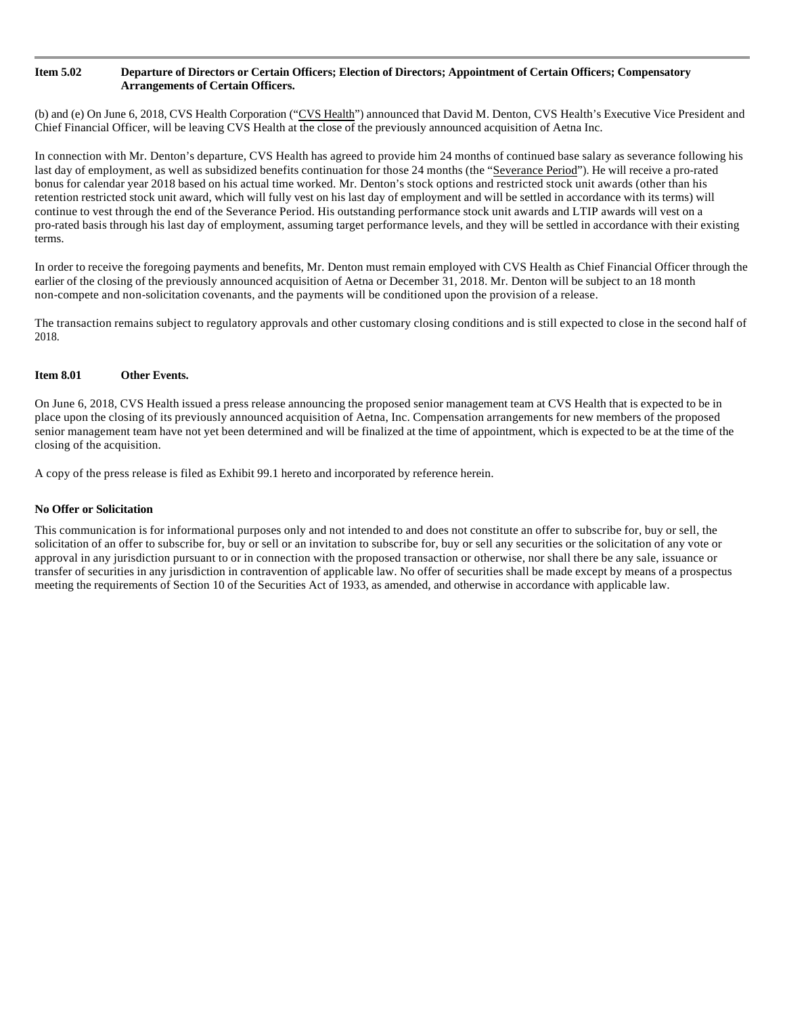# **Item 5.02 Departure of Directors or Certain Officers; Election of Directors; Appointment of Certain Officers; Compensatory Arrangements of Certain Officers.**

(b) and (e) On June 6, 2018, CVS Health Corporation ("CVS Health") announced that David M. Denton, CVS Health's Executive Vice President and Chief Financial Officer, will be leaving CVS Health at the close of the previously announced acquisition of Aetna Inc.

In connection with Mr. Denton's departure, CVS Health has agreed to provide him 24 months of continued base salary as severance following his last day of employment, as well as subsidized benefits continuation for those 24 months (the "Severance Period"). He will receive a pro-rated bonus for calendar year 2018 based on his actual time worked. Mr. Denton's stock options and restricted stock unit awards (other than his retention restricted stock unit award, which will fully vest on his last day of employment and will be settled in accordance with its terms) will continue to vest through the end of the Severance Period. His outstanding performance stock unit awards and LTIP awards will vest on a pro-rated basis through his last day of employment, assuming target performance levels, and they will be settled in accordance with their existing terms.

In order to receive the foregoing payments and benefits, Mr. Denton must remain employed with CVS Health as Chief Financial Officer through the earlier of the closing of the previously announced acquisition of Aetna or December 31, 2018. Mr. Denton will be subject to an 18 month non-compete and non-solicitation covenants, and the payments will be conditioned upon the provision of a release.

The transaction remains subject to regulatory approvals and other customary closing conditions and is still expected to close in the second half of 2018.

# **Item 8.01 Other Events.**

On June 6, 2018, CVS Health issued a press release announcing the proposed senior management team at CVS Health that is expected to be in place upon the closing of its previously announced acquisition of Aetna, Inc. Compensation arrangements for new members of the proposed senior management team have not yet been determined and will be finalized at the time of appointment, which is expected to be at the time of the closing of the acquisition.

A copy of the press release is filed as Exhibit 99.1 hereto and incorporated by reference herein.

# **No Offer or Solicitation**

This communication is for informational purposes only and not intended to and does not constitute an offer to subscribe for, buy or sell, the solicitation of an offer to subscribe for, buy or sell or an invitation to subscribe for, buy or sell any securities or the solicitation of any vote or approval in any jurisdiction pursuant to or in connection with the proposed transaction or otherwise, nor shall there be any sale, issuance or transfer of securities in any jurisdiction in contravention of applicable law. No offer of securities shall be made except by means of a prospectus meeting the requirements of Section 10 of the Securities Act of 1933, as amended, and otherwise in accordance with applicable law.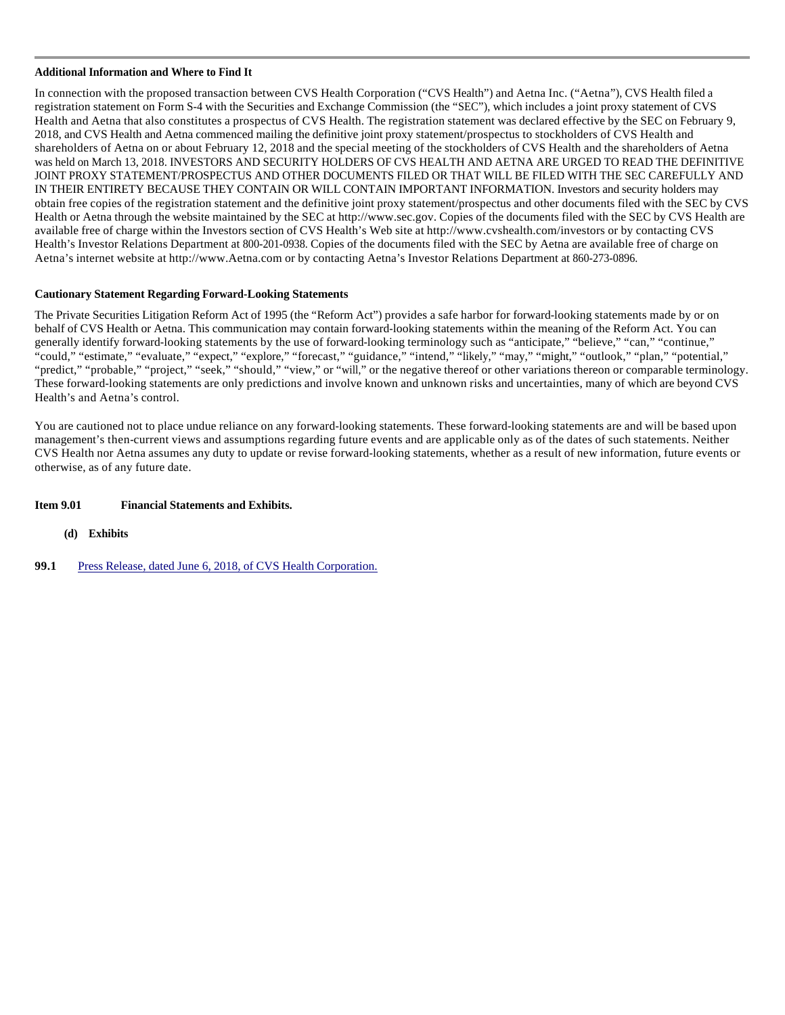# **Additional Information and Where to Find It**

In connection with the proposed transaction between CVS Health Corporation ("CVS Health") and Aetna Inc. ("Aetna"), CVS Health filed a registration statement on Form S-4 with the Securities and Exchange Commission (the "SEC"), which includes a joint proxy statement of CVS Health and Aetna that also constitutes a prospectus of CVS Health. The registration statement was declared effective by the SEC on February 9, 2018, and CVS Health and Aetna commenced mailing the definitive joint proxy statement/prospectus to stockholders of CVS Health and shareholders of Aetna on or about February 12, 2018 and the special meeting of the stockholders of CVS Health and the shareholders of Aetna was held on March 13, 2018. INVESTORS AND SECURITY HOLDERS OF CVS HEALTH AND AETNA ARE URGED TO READ THE DEFINITIVE JOINT PROXY STATEMENT/PROSPECTUS AND OTHER DOCUMENTS FILED OR THAT WILL BE FILED WITH THE SEC CAREFULLY AND IN THEIR ENTIRETY BECAUSE THEY CONTAIN OR WILL CONTAIN IMPORTANT INFORMATION. Investors and security holders may obtain free copies of the registration statement and the definitive joint proxy statement/prospectus and other documents filed with the SEC by CVS Health or Aetna through the website maintained by the SEC at http://www.sec.gov. Copies of the documents filed with the SEC by CVS Health are available free of charge within the Investors section of CVS Health's Web site at http://www.cvshealth.com/investors or by contacting CVS Health's Investor Relations Department at 800-201-0938. Copies of the documents filed with the SEC by Aetna are available free of charge on Aetna's internet website at http://www.Aetna.com or by contacting Aetna's Investor Relations Department at 860-273-0896.

# **Cautionary Statement Regarding Forward-Looking Statements**

The Private Securities Litigation Reform Act of 1995 (the "Reform Act") provides a safe harbor for forward-looking statements made by or on behalf of CVS Health or Aetna. This communication may contain forward-looking statements within the meaning of the Reform Act. You can generally identify forward-looking statements by the use of forward-looking terminology such as "anticipate," "believe," "can," "continue," "could," "estimate," "evaluate," "expect," "explore," "forecast," "guidance," "intend," "likely," "may," "might," "outlook," "plan," "potential," "predict," "probable," "project," "seek," "should," "view," or "will," or the negative thereof or other variations thereon or comparable terminology. These forward-looking statements are only predictions and involve known and unknown risks and uncertainties, many of which are beyond CVS Health's and Aetna's control.

You are cautioned not to place undue reliance on any forward-looking statements. These forward-looking statements are and will be based upon management's then-current views and assumptions regarding future events and are applicable only as of the dates of such statements. Neither CVS Health nor Aetna assumes any duty to update or revise forward-looking statements, whether as a result of new information, future events or otherwise, as of any future date.

# **Item 9.01 Financial Statements and Exhibits.**

- **(d) Exhibits**
- **99.1** Press Release, dated June 6, 2018, of CVS Health Corporation.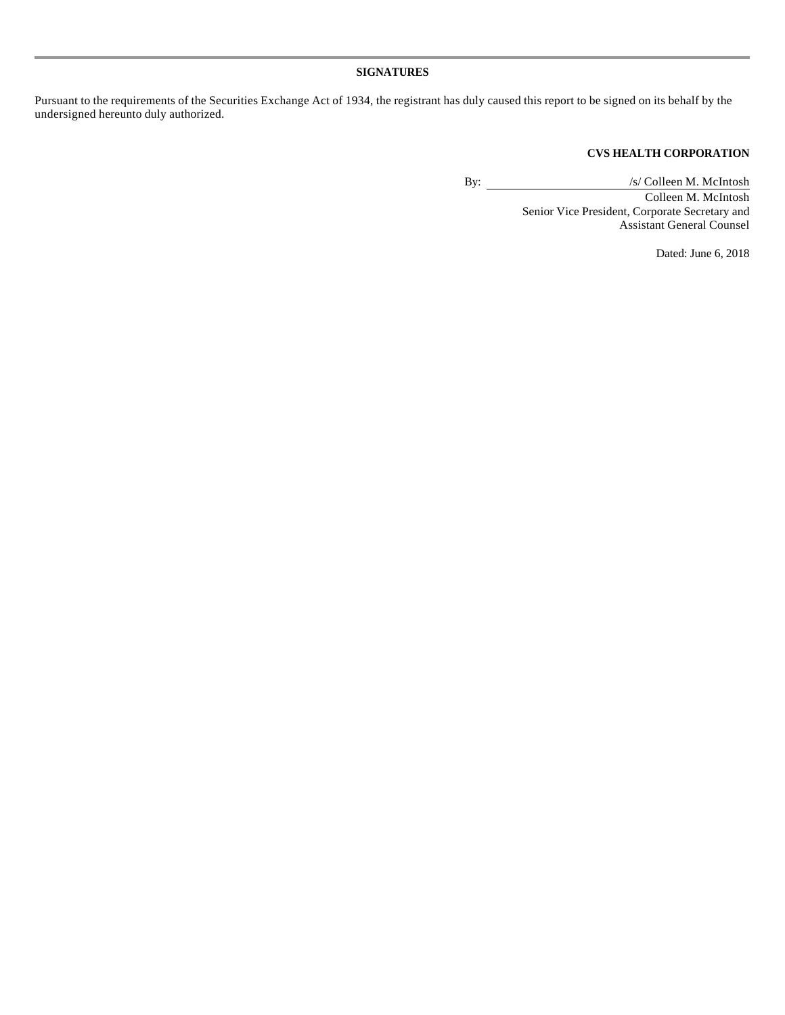# **SIGNATURES**

Pursuant to the requirements of the Securities Exchange Act of 1934, the registrant has duly caused this report to be signed on its behalf by the undersigned hereunto duly authorized.

# **CVS HEALTH CORPORATION**

By:  $\sqrt{s/Colleen M. Mclntosh}$ 

Colleen M. McIntosh Senior Vice President, Corporate Secretary and Assistant General Counsel

Dated: June 6, 2018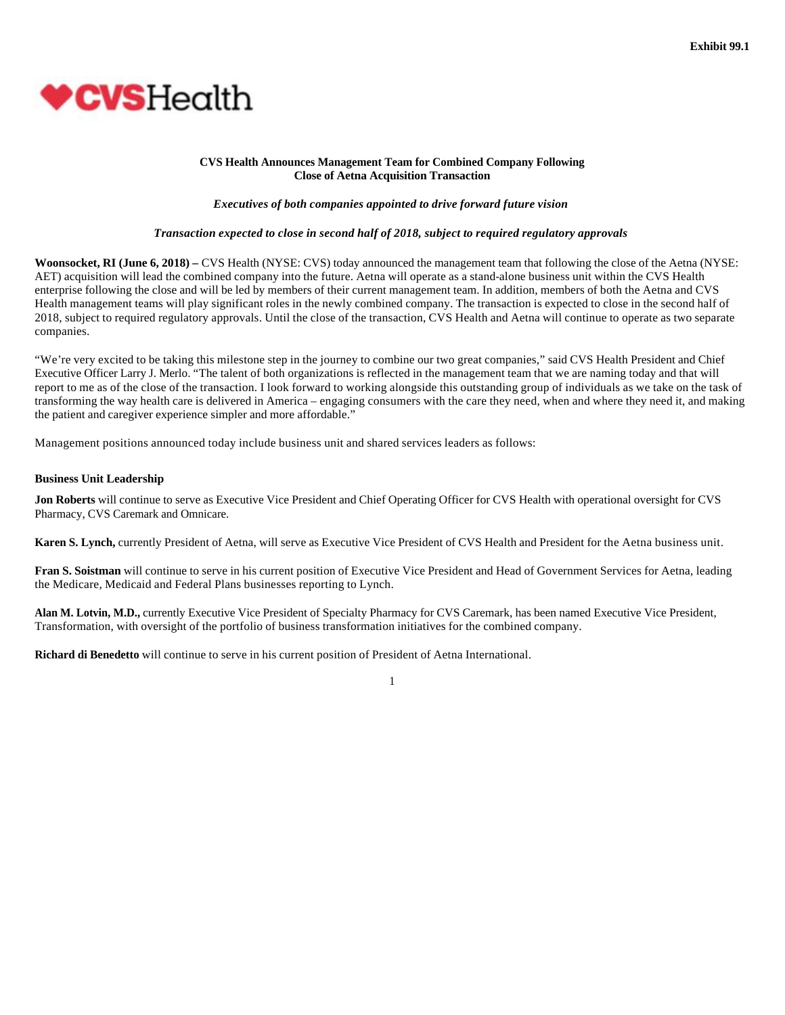

## **CVS Health Announces Management Team for Combined Company Following Close of Aetna Acquisition Transaction**

*Executives of both companies appointed to drive forward future vision* 

## *Transaction expected to close in second half of 2018, subject to required regulatory approvals*

**Woonsocket, RI (June 6, 2018) –** CVS Health (NYSE: CVS) today announced the management team that following the close of the Aetna (NYSE: AET) acquisition will lead the combined company into the future. Aetna will operate as a stand-alone business unit within the CVS Health enterprise following the close and will be led by members of their current management team. In addition, members of both the Aetna and CVS Health management teams will play significant roles in the newly combined company. The transaction is expected to close in the second half of 2018, subject to required regulatory approvals. Until the close of the transaction, CVS Health and Aetna will continue to operate as two separate companies.

"We're very excited to be taking this milestone step in the journey to combine our two great companies," said CVS Health President and Chief Executive Officer Larry J. Merlo. "The talent of both organizations is reflected in the management team that we are naming today and that will report to me as of the close of the transaction. I look forward to working alongside this outstanding group of individuals as we take on the task of transforming the way health care is delivered in America – engaging consumers with the care they need, when and where they need it, and making the patient and caregiver experience simpler and more affordable."

Management positions announced today include business unit and shared services leaders as follows:

#### **Business Unit Leadership**

**Jon Roberts** will continue to serve as Executive Vice President and Chief Operating Officer for CVS Health with operational oversight for CVS Pharmacy, CVS Caremark and Omnicare.

**Karen S. Lynch,** currently President of Aetna, will serve as Executive Vice President of CVS Health and President for the Aetna business unit.

**Fran S. Soistman** will continue to serve in his current position of Executive Vice President and Head of Government Services for Aetna, leading the Medicare, Medicaid and Federal Plans businesses reporting to Lynch.

**Alan M. Lotvin, M.D.,** currently Executive Vice President of Specialty Pharmacy for CVS Caremark, has been named Executive Vice President, Transformation, with oversight of the portfolio of business transformation initiatives for the combined company.

**Richard di Benedetto** will continue to serve in his current position of President of Aetna International.

1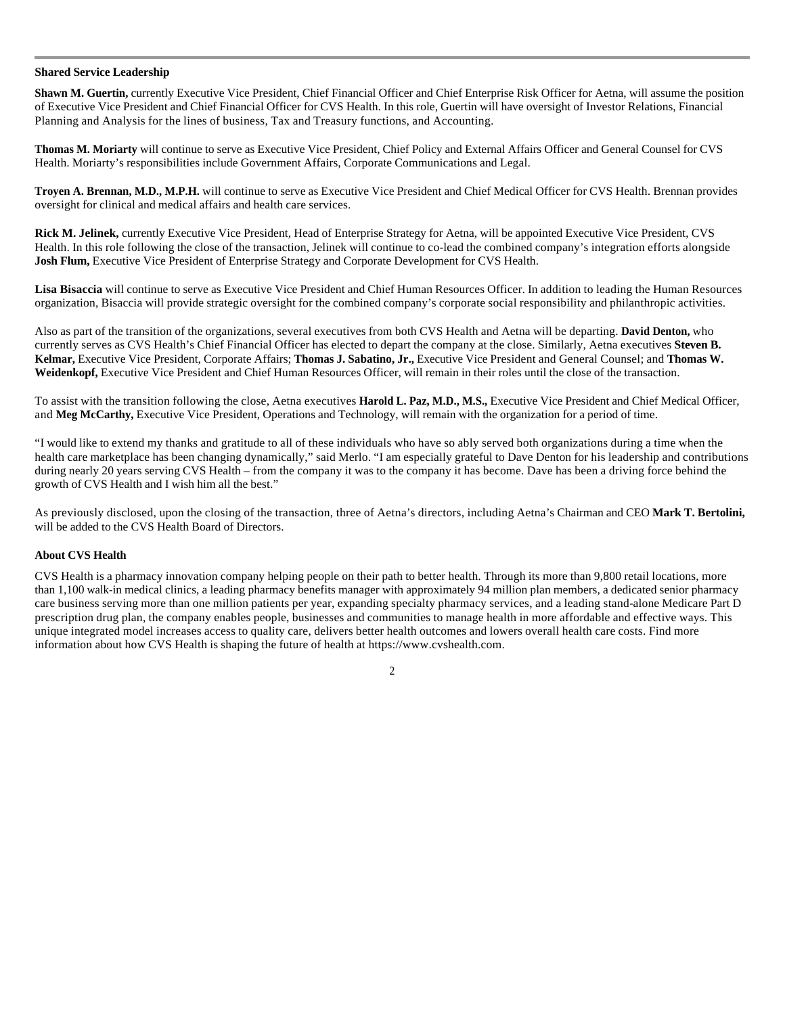## **Shared Service Leadership**

**Shawn M. Guertin,** currently Executive Vice President, Chief Financial Officer and Chief Enterprise Risk Officer for Aetna, will assume the position of Executive Vice President and Chief Financial Officer for CVS Health. In this role, Guertin will have oversight of Investor Relations, Financial Planning and Analysis for the lines of business, Tax and Treasury functions, and Accounting.

**Thomas M. Moriarty** will continue to serve as Executive Vice President, Chief Policy and External Affairs Officer and General Counsel for CVS Health. Moriarty's responsibilities include Government Affairs, Corporate Communications and Legal.

**Troyen A. Brennan, M.D., M.P.H.** will continue to serve as Executive Vice President and Chief Medical Officer for CVS Health. Brennan provides oversight for clinical and medical affairs and health care services.

**Rick M. Jelinek,** currently Executive Vice President, Head of Enterprise Strategy for Aetna, will be appointed Executive Vice President, CVS Health. In this role following the close of the transaction, Jelinek will continue to co-lead the combined company's integration efforts alongside **Josh Flum,** Executive Vice President of Enterprise Strategy and Corporate Development for CVS Health.

**Lisa Bisaccia** will continue to serve as Executive Vice President and Chief Human Resources Officer. In addition to leading the Human Resources organization, Bisaccia will provide strategic oversight for the combined company's corporate social responsibility and philanthropic activities.

Also as part of the transition of the organizations, several executives from both CVS Health and Aetna will be departing. **David Denton,** who currently serves as CVS Health's Chief Financial Officer has elected to depart the company at the close. Similarly, Aetna executives **Steven B. Kelmar,** Executive Vice President, Corporate Affairs; **Thomas J. Sabatino, Jr.,** Executive Vice President and General Counsel; and **Thomas W.**  Weidenkopf, Executive Vice President and Chief Human Resources Officer, will remain in their roles until the close of the transaction.

To assist with the transition following the close, Aetna executives **Harold L. Paz, M.D., M.S.,** Executive Vice President and Chief Medical Officer, and **Meg McCarthy,** Executive Vice President, Operations and Technology, will remain with the organization for a period of time.

"I would like to extend my thanks and gratitude to all of these individuals who have so ably served both organizations during a time when the health care marketplace has been changing dynamically," said Merlo. "I am especially grateful to Dave Denton for his leadership and contributions during nearly 20 years serving CVS Health – from the company it was to the company it has become. Dave has been a driving force behind the growth of CVS Health and I wish him all the best."

As previously disclosed, upon the closing of the transaction, three of Aetna's directors, including Aetna's Chairman and CEO **Mark T. Bertolini,** will be added to the CVS Health Board of Directors.

# **About CVS Health**

CVS Health is a pharmacy innovation company helping people on their path to better health. Through its more than 9,800 retail locations, more than 1,100 walk-in medical clinics, a leading pharmacy benefits manager with approximately 94 million plan members, a dedicated senior pharmacy care business serving more than one million patients per year, expanding specialty pharmacy services, and a leading stand-alone Medicare Part D prescription drug plan, the company enables people, businesses and communities to manage health in more affordable and effective ways. This unique integrated model increases access to quality care, delivers better health outcomes and lowers overall health care costs. Find more information about how CVS Health is shaping the future of health at https://www.cvshealth.com.

2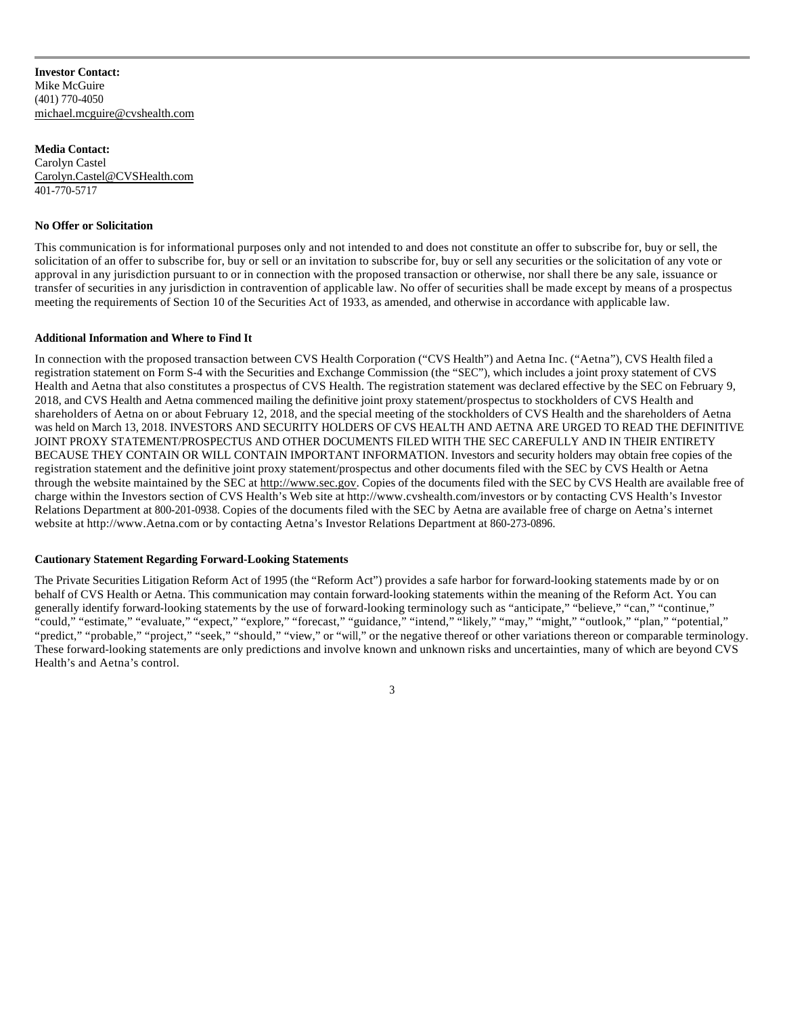**Investor Contact:** Mike McGuire (401) 770-4050 michael.mcguire@cvshealth.com

**Media Contact:**  Carolyn Castel Carolyn.Castel@CVSHealth.com 401-770-5717

# **No Offer or Solicitation**

This communication is for informational purposes only and not intended to and does not constitute an offer to subscribe for, buy or sell, the solicitation of an offer to subscribe for, buy or sell or an invitation to subscribe for, buy or sell any securities or the solicitation of any vote or approval in any jurisdiction pursuant to or in connection with the proposed transaction or otherwise, nor shall there be any sale, issuance or transfer of securities in any jurisdiction in contravention of applicable law. No offer of securities shall be made except by means of a prospectus meeting the requirements of Section 10 of the Securities Act of 1933, as amended, and otherwise in accordance with applicable law.

#### **Additional Information and Where to Find It**

In connection with the proposed transaction between CVS Health Corporation ("CVS Health") and Aetna Inc. ("Aetna"), CVS Health filed a registration statement on Form S-4 with the Securities and Exchange Commission (the "SEC"), which includes a joint proxy statement of CVS Health and Aetna that also constitutes a prospectus of CVS Health. The registration statement was declared effective by the SEC on February 9, 2018, and CVS Health and Aetna commenced mailing the definitive joint proxy statement/prospectus to stockholders of CVS Health and shareholders of Aetna on or about February 12, 2018, and the special meeting of the stockholders of CVS Health and the shareholders of Aetna was held on March 13, 2018. INVESTORS AND SECURITY HOLDERS OF CVS HEALTH AND AETNA ARE URGED TO READ THE DEFINITIVE JOINT PROXY STATEMENT/PROSPECTUS AND OTHER DOCUMENTS FILED WITH THE SEC CAREFULLY AND IN THEIR ENTIRETY BECAUSE THEY CONTAIN OR WILL CONTAIN IMPORTANT INFORMATION. Investors and security holders may obtain free copies of the registration statement and the definitive joint proxy statement/prospectus and other documents filed with the SEC by CVS Health or Aetna through the website maintained by the SEC at http://www.sec.gov. Copies of the documents filed with the SEC by CVS Health are available free of charge within the Investors section of CVS Health's Web site at http://www.cvshealth.com/investors or by contacting CVS Health's Investor Relations Department at 800-201-0938. Copies of the documents filed with the SEC by Aetna are available free of charge on Aetna's internet website at http://www.Aetna.com or by contacting Aetna's Investor Relations Department at 860-273-0896.

#### **Cautionary Statement Regarding Forward-Looking Statements**

The Private Securities Litigation Reform Act of 1995 (the "Reform Act") provides a safe harbor for forward-looking statements made by or on behalf of CVS Health or Aetna. This communication may contain forward-looking statements within the meaning of the Reform Act. You can generally identify forward-looking statements by the use of forward-looking terminology such as "anticipate," "believe," "can," "continue," "could," "estimate," "evaluate," "expect," "explore," "forecast," "guidance," "intend," "likely," "may," "might," "outlook," "plan," "potential," "predict," "probable," "project," "seek," "should," "view," or "will," or the negative thereof or other variations thereon or comparable terminology. These forward-looking statements are only predictions and involve known and unknown risks and uncertainties, many of which are beyond CVS Health's and Aetna's control.

3